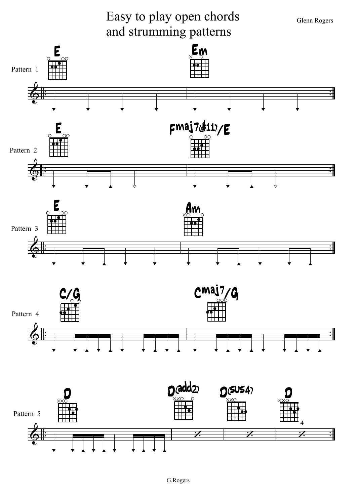